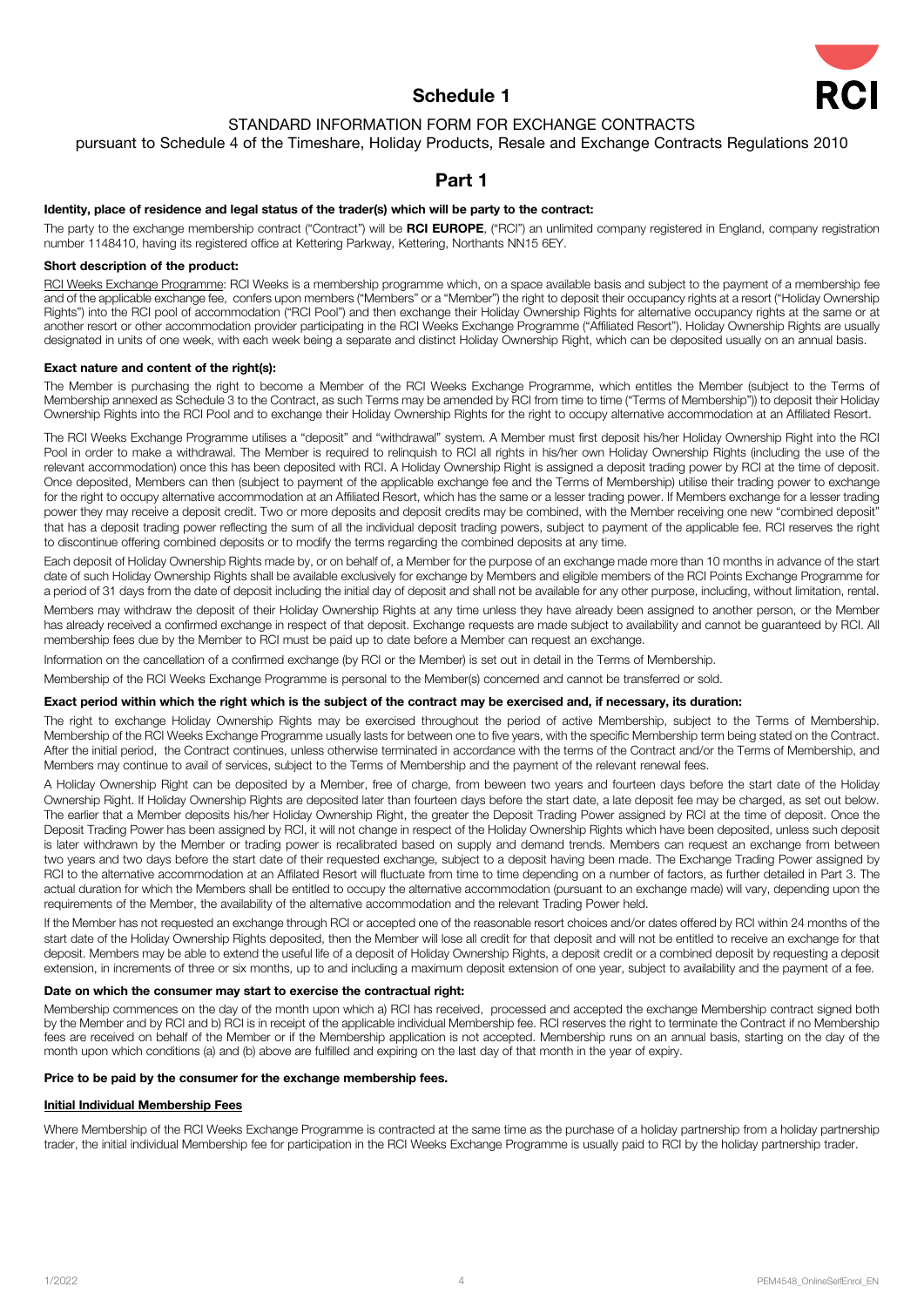

# Schedule 1

# STANDARD INFORMATION FORM FOR EXCHANGE CONTRACTS

pursuant to Schedule 4 of the Timeshare, Holiday Products, Resale and Exchange Contracts Regulations 2010

# Part 1

## Identity, place of residence and legal status of the trader(s) which will be party to the contract:

The party to the exchange membership contract ("Contract") will be RCI EUROPE, ("RCI") an unlimited company registered in England, company registration number 1148410, having its registered office at Kettering Parkway, Kettering, Northants NN15 6EY.

# Short description of the product:

RCI Weeks Exchange Programme: RCI Weeks is a membership programme which, on a space available basis and subject to the payment of a membership fee and of the applicable exchange fee, confers upon members ("Members" or a "Member") the right to deposit their occupancy rights at a resort ("Holiday Ownership") the right of deposit their occupancy rights at a resort ("Hol Rights") into the RCI pool of accommodation ("RCI Pool") and then exchange their Holiday Ownership Rights for alternative occupancy rights at the same or at another resort or other accommodation provider participating in the RCI Weeks Exchange Programme ("Affiliated Resort"). Holiday Ownership Rights are usually designated in units of one week, with each week being a separate and distinct Holiday Ownership Right, which can be deposited usually on an annual basis.

#### Exact nature and content of the right(s):

The Member is purchasing the right to become a Member of the RCI Weeks Exchange Programme, which entitles the Member (subject to the Terms of Membership annexed as Schedule 3 to the Contract, as such Terms may be amended by RCI from time to time ("Terms of Membership")) to deposit their Holiday Ownership Rights into the RCI Pool and to exchange their Holiday Ownership Rights for the right to occupy alternative accommodation at an Affiliated Resort.

The RCI Weeks Exchange Programme utilises a "deposit" and "withdrawal" system. A Member must first deposit his/her Holiday Ownership Right into the RCI Pool in order to make a withdrawal. The Member is required to relinquish to RCI all rights in his/her own Holiday Ownership Rights (including the use of the relevant accommodation) once this has been deposited with RCI. A Holiday Ownership Right is assigned a deposit trading power by RCI at the time of deposit. Once deposited, Members can then (subject to payment of the applicable exchange fee and the Terms of Membership) utilise their trading power to exchange for the right to occupy alternative accommodation at an Affiliated Resort, which has the same or a lesser trading power. If Members exchange for a lesser trading power they may receive a deposit credit. Two or more deposits and deposit credits may be combined, with the Member receiving one new "combined deposit" that has a deposit trading power reflecting the sum of all the individual deposit trading powers, subject to payment of the applicable fee. RCI reserves the right to discontinue offering combined deposits or to modify the terms regarding the combined deposits at any time.

Each deposit of Holiday Ownership Rights made by, or on behalf of, a Member for the purpose of an exchange made more than 10 months in advance of the start date of such Holiday Ownership Rights shall be available exclusively for exchange by Members and eligible members of the RCI Points Exchange Programme for a period of 31 days from the date of deposit including the initial day of deposit and shall not be available for any other purpose, including, without limitation, rental. Members may withdraw the deposit of their Holiday Ownership Rights at any time unless they have already been assigned to another person, or the Member has already received a confirmed exchange in respect of that deposit. Exchange requests are made subject to availability and cannot be guaranteed by RCI. All membership fees due by the Member to RCI must be paid up to date before a Member can request an exchange.

Information on the cancellation of a confirmed exchange (by RCI or the Member) is set out in detail in the Terms of Membership.

Membership of the RCI Weeks Exchange Programme is personal to the Member(s) concerned and cannot be transferred or sold.

### Exact period within which the right which is the subject of the contract may be exercised and, if necessary, its duration:

The right to exchange Holiday Ownership Rights may be exercised throughout the period of active Membership, subject to the Terms of Membership. Membership of the RCI Weeks Exchange Programme usually lasts for between one to five years, with the specific Membership term being stated on the Contract. After the initial period, the Contract continues, unless otherwise terminated in accordance with the terms of the Contract and/or the Terms of Membership, and Members may continue to avail of services, subject to the Terms of Membership and the payment of the relevant renewal fees.

A Holiday Ownership Right can be deposited by a Member, free of charge, from beween two years and fourteen days before the start date of the Holiday Ownership Right. If Holiday Ownership Rights are deposited later than fourteen days before the start date, a late deposit fee may be charged, as set out below. The earlier that a Member deposits his/her Holiday Ownership Right, the greater the Deposit Trading Power assigned by RCI at the time of deposit. Once the Deposit Trading Power has been assigned by RCI, it will not change in respect of the Holiday Ownership Rights which have been deposited, unless such deposit is later withdrawn by the Member or trading power is recalibrated based on supply and demand trends. Members can request an exchange from between two years and two days before the start date of their requested exchange, subject to a deposit having been made. The Exchange Trading Power assigned by RCI to the alternative accommodation at an Affilated Resort will fluctuate from time to time depending on a number of factors, as further detailed in Part 3. The actual duration for which the Members shall be entitled to occupy the alternative accommodation (pursuant to an exchange made) will vary, depending upon the requirements of the Member, the availability of the alternative accommodation and the relevant Trading Power held.

If the Member has not requested an exchange through RCI or accepted one of the reasonable resort choices and/or dates offered by RCI within 24 months of the start date of the Holiday Ownership Rights deposited, then the Member will lose all credit for that deposit and will not be entitled to receive an exchange for that deposit. Members may be able to extend the useful life of a deposit of Holiday Ownership Rights, a deposit credit or a combined deposit by requesting a deposit extension, in increments of three or six months, up to and including a maximum deposit extension of one year, subject to availability and the payment of a fee.

#### Date on which the consumer may start to exercise the contractual right:

Membership commences on the day of the month upon which a) RCI has received, processed and accepted the exchange Membership contract signed both by the Member and by RCI and b) RCI is in receipt of the applicable individual Membership fee. RCI reserves the right to terminate the Contract if no Membership fees are received on behalf of the Member or if the Membership application is not accepted. Membership runs on an annual basis, starting on the day of the month upon which conditions (a) and (b) above are fulfilled and expiring on the last day of that month in the year of expiry.

#### Price to be paid by the consumer for the exchange membership fees.

#### Initial Individual Membership Fees

Where Membership of the RCI Weeks Exchange Programme is contracted at the same time as the purchase of a holiday partnership from a holiday partnership trader, the initial individual Membership fee for participation in the RCI Weeks Exchange Programme is usually paid to RCI by the holiday partnership trader.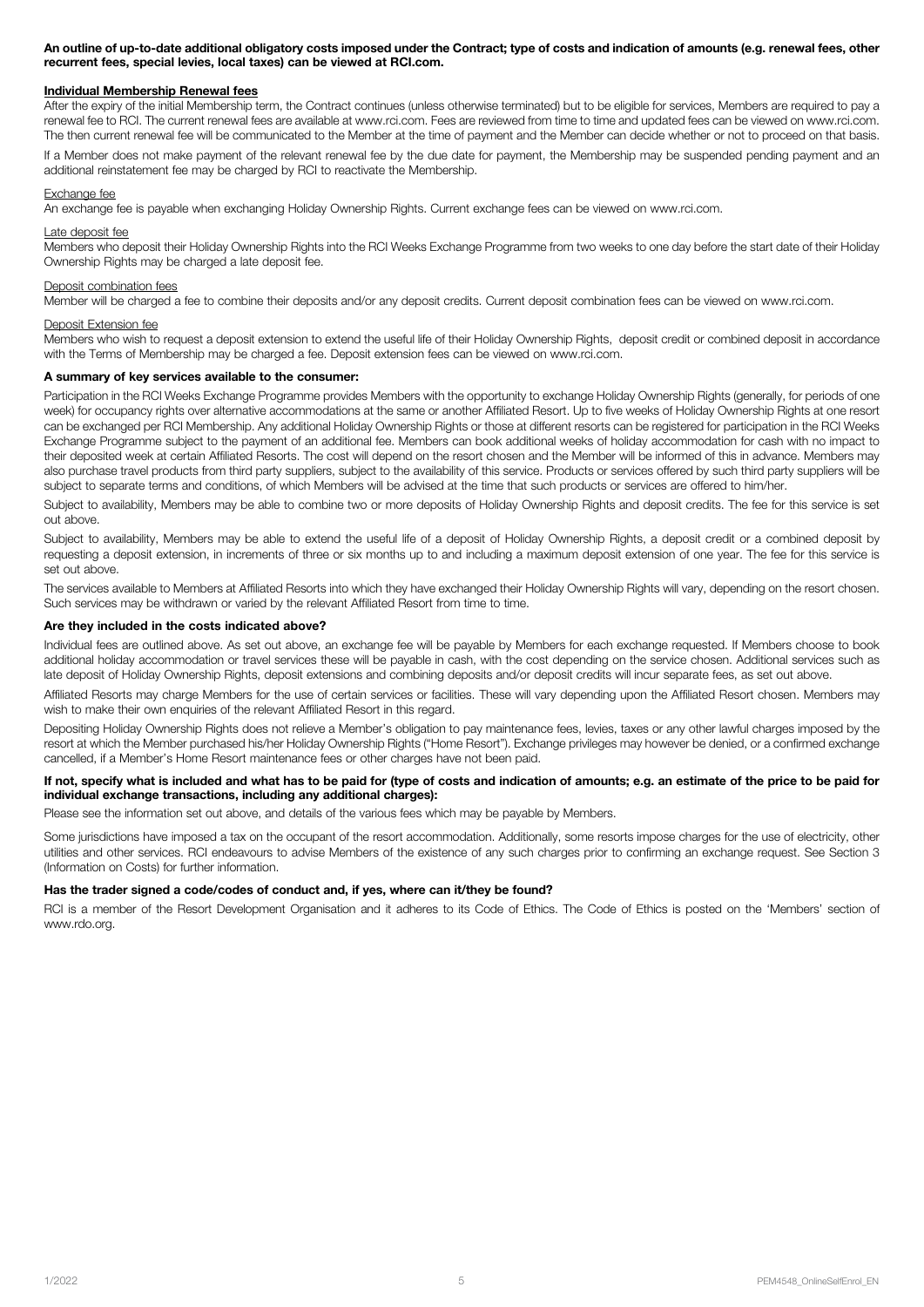An outline of up-to-date additional obligatory costs imposed under the Contract; type of costs and indication of amounts (e.g. renewal fees, other recurrent fees, special levies, local taxes) can be viewed at RCI.com.

### Individual Membership Renewal fees

After the expiry of the initial Membership term, the Contract continues (unless otherwise terminated) but to be eligible for services, Members are required to pay a renewal fee to RCI. The current renewal fees are available at [www.rci.com.](http://www.rci.com) Fees are reviewed from time to time and updated fees can be viewed on [www.rci.com.](http://www.rci.com) The then current renewal fee will be communicated to the Member at the time of payment and the Member can decide whether or not to proceed on that basis.

If a Member does not make payment of the relevant renewal fee by the due date for payment, the Membership may be suspended pending payment and an additional reinstatement fee may be charged by RCI to reactivate the Membership.

#### Exchange fee

An exchange fee is payable when exchanging Holiday Ownership Rights. Current exchange fees can be viewed on [www.rci.com.](http://www.rci.com)

#### Late deposit fee

Members who deposit their Holiday Ownership Rights into the RCI Weeks Exchange Programme from two weeks to one day before the start date of their Holiday Ownership Rights may be charged a late deposit fee.

#### Deposit combination fees

Member will be charged a fee to combine their deposits and/or any deposit credits. Current deposit combination fees can be viewed on [www.rci.com](http://www.rci.com).

#### Deposit Extension fee

Members who wish to request a deposit extension to extend the useful life of their Holiday Ownership Rights, deposit credit or combined deposit in accordance with the Terms of Membership may be charged a fee. Deposit extension fees can be viewed on [www.rci.com](http://www.rci.com).

#### A summary of key services available to the consumer:

Participation in the RCI Weeks Exchange Programme provides Members with the opportunity to exchange Holiday Ownership Rights (generally, for periods of one week) for occupancy rights over alternative accommodations at the same or another Affiliated Resort. Up to five weeks of Holiday Ownership Rights at one resort can be exchanged per RCI Membership. Any additional Holiday Ownership Rights or those at different resorts can be registered for participation in the RCI Weeks Exchange Programme subject to the payment of an additional fee. Members can book additional weeks of holiday accommodation for cash with no impact to their deposited week at certain Affiliated Resorts. The cost will depend on the resort chosen and the Member will be informed of this in advance. Members may also purchase travel products from third party suppliers, subject to the availability of this service. Products or services offered by such third party suppliers will be subject to separate terms and conditions, of which Members will be advised at the time that such products or services are offered to him/her.

Subject to availability, Members may be able to combine two or more deposits of Holiday Ownership Rights and deposit credits. The fee for this service is set out above.

Subject to availability, Members may be able to extend the useful life of a deposit of Holiday Ownership Rights, a deposit credit or a combined deposit by requesting a deposit extension, in increments of three or six months up to and including a maximum deposit extension of one year. The fee for this service is set out above.

The services available to Members at Affiliated Resorts into which they have exchanged their Holiday Ownership Rights will vary, depending on the resort chosen. Such services may be withdrawn or varied by the relevant Affiliated Resort from time to time.

#### Are they included in the costs indicated above?

Individual fees are outlined above. As set out above, an exchange fee will be payable by Members for each exchange requested. If Members choose to book additional holiday accommodation or travel services these will be payable in cash, with the cost depending on the service chosen. Additional services such as late deposit of Holiday Ownership Rights, deposit extensions and combining deposits and/or deposit credits will incur separate fees, as set out above.

Affiliated Resorts may charge Members for the use of certain services or facilities. These will vary depending upon the Affiliated Resort chosen. Members may wish to make their own enquiries of the relevant Affiliated Resort in this regard.

Depositing Holiday Ownership Rights does not relieve a Member's obligation to pay maintenance fees, levies, taxes or any other lawful charges imposed by the resort at which the Member purchased his/her Holiday Ownership Rights ("Home Resort"). Exchange privileges may however be denied, or a confirmed exchange cancelled, if a Member's Home Resort maintenance fees or other charges have not been paid.

## If not, specify what is included and what has to be paid for (type of costs and indication of amounts; e.g. an estimate of the price to be paid for individual exchange transactions, including any additional charges):

Please see the information set out above, and details of the various fees which may be payable by Members.

Some jurisdictions have imposed a tax on the occupant of the resort accommodation. Additionally, some resorts impose charges for the use of electricity, other utilities and other services. RCI endeavours to advise Members of the existence of any such charges prior to confirming an exchange request. See Section 3 (Information on Costs) for further information.

#### Has the trader signed a code/codes of conduct and, if yes, where can it/they be found?

RCI is a member of the Resort Development Organisation and it adheres to its Code of Ethics. The Code of Ethics is posted on the 'Members' section of [www.rdo.org](http://www.rdo.org).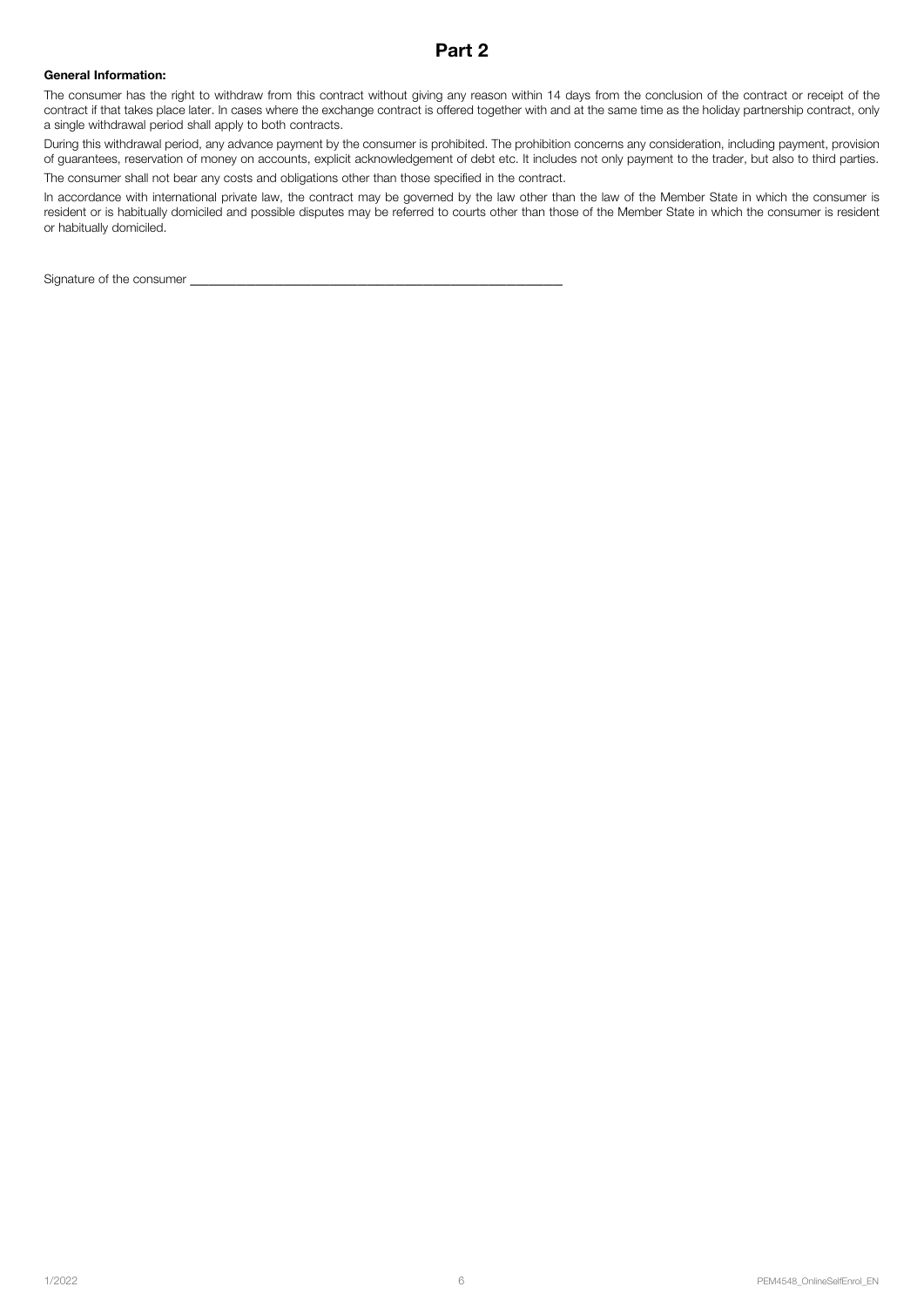## General Information:

The consumer has the right to withdraw from this contract without giving any reason within 14 days from the conclusion of the contract or receipt of the contract if that takes place later. In cases where the exchange contract is offered together with and at the same time as the holiday partnership contract, only a single withdrawal period shall apply to both contracts.

During this withdrawal period, any advance payment by the consumer is prohibited. The prohibition concerns any consideration, including payment, provision of guarantees, reservation of money on accounts, explicit acknowledgement of debt etc. It includes not only payment to the trader, but also to third parties.

The consumer shall not bear any costs and obligations other than those specified in the contract.

In accordance with international private law, the contract may be governed by the law other than the law of the Member State in which the consumer is resident or is habitually domiciled and possible disputes may be referred to courts other than those of the Member State in which the consumer is resident or habitually domiciled.

Signature of the consumer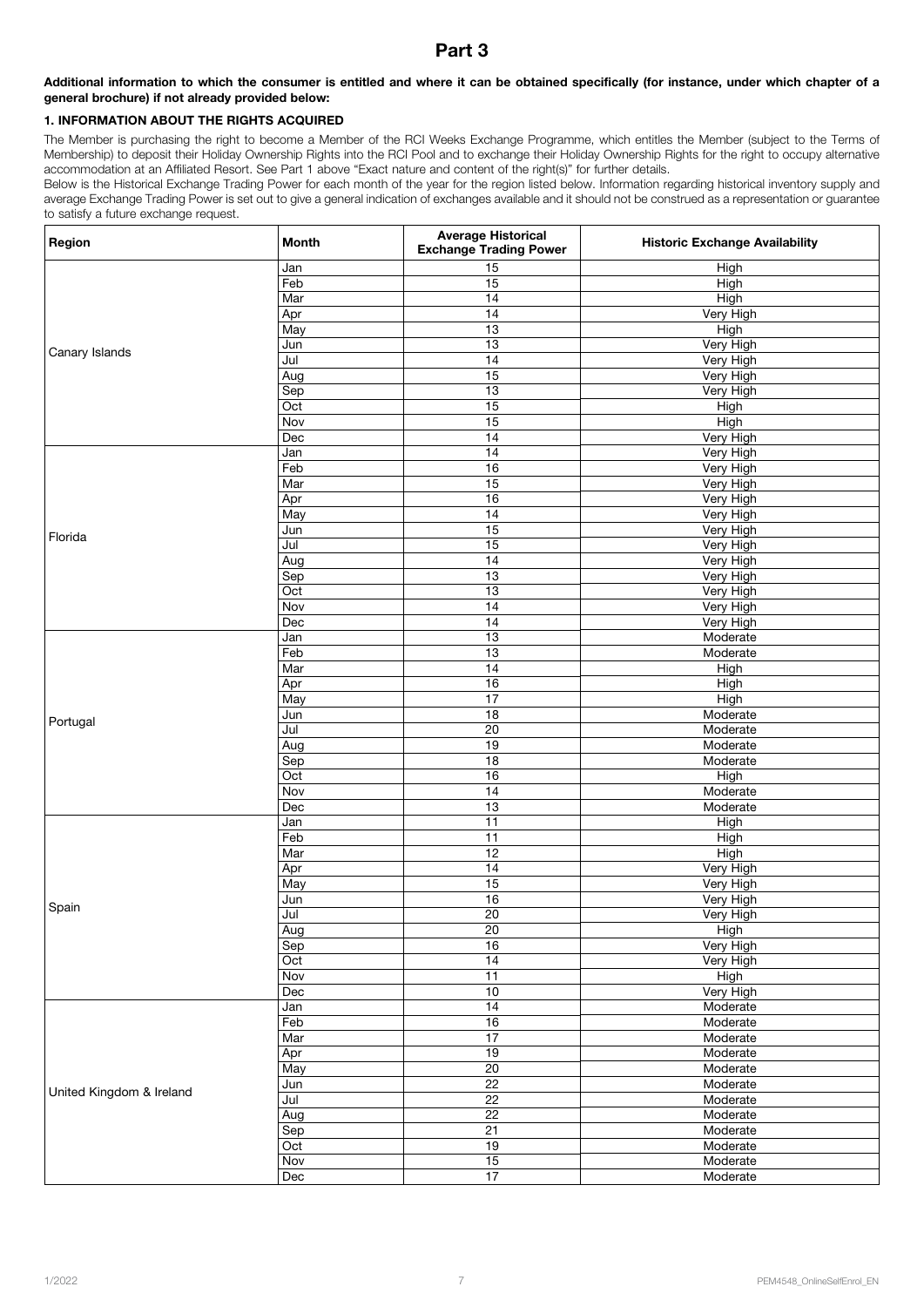# Part 3

## Additional information to which the consumer is entitled and where it can be obtained specifically (for instance, under which chapter of a general brochure) if not already provided below:

## 1. INFORMATION ABOUT THE RIGHTS ACQUIRED

The Member is purchasing the right to become a Member of the RCI Weeks Exchange Programme, which entitles the Member (subject to the Terms of Membership) to deposit their Holiday Ownership Rights into the RCI Pool and to exchange their Holiday Ownership Rights for the right to occupy alternative accommodation at an Affiliated Resort. See Part 1 above "Exact nature and content of the right(s)" for further details.

Below is the Historical Exchange Trading Power for each month of the year for the region listed below. Information regarding historical inventory supply and average Exchange Trading Power is set out to give a general indication of exchanges available and it should not be construed as a representation or guarantee to satisfy a future exchange request.

| Region                   | <b>Month</b>              | <b>Average Historical</b><br><b>Exchange Trading Power</b> | <b>Historic Exchange Availability</b> |
|--------------------------|---------------------------|------------------------------------------------------------|---------------------------------------|
| Canary Islands           | Jan                       | 15                                                         | High                                  |
|                          | Feb                       | 15                                                         | High                                  |
|                          | Mar                       | 14                                                         | High                                  |
|                          | Apr                       | 14                                                         | Very High                             |
|                          | May                       | 13                                                         | High                                  |
|                          | Jun                       | 13                                                         | Very High                             |
|                          | Jul                       | 14                                                         | Very High                             |
|                          | Aug                       | 15                                                         | Very High                             |
|                          | Sep                       | 13                                                         | Very High                             |
|                          | Oct                       | $\overline{15}$                                            | High                                  |
|                          | Nov                       | $\overline{15}$                                            | High                                  |
|                          | Dec                       | $\overline{14}$                                            | Very High                             |
| Florida                  | Jan                       | 14                                                         | Very High                             |
|                          | Feb                       | 16                                                         | Very High                             |
|                          | $\overline{\mathsf{Mar}}$ | 15                                                         | Very High                             |
|                          | Apr                       | 16                                                         | Very High                             |
|                          | May                       | 14                                                         | Very High                             |
|                          | Jun                       | $\overline{15}$                                            | Very High                             |
|                          | Jul                       | 15                                                         | Very High                             |
|                          | Aug                       | 14                                                         | Very High                             |
|                          | Sep                       | 13                                                         | Very High                             |
|                          | Oct                       | 13                                                         | Very High                             |
|                          | Nov                       | 14                                                         | Very High                             |
|                          | Dec                       | 14                                                         | Very High                             |
| Portugal                 | Jan                       | 13                                                         | Moderate                              |
|                          | Feb                       | 13                                                         | Moderate                              |
|                          | Mar                       | 14                                                         | High                                  |
|                          | Apr                       | 16                                                         | High                                  |
|                          | May                       | 17                                                         | High                                  |
|                          | Jun                       | 18                                                         | Moderate                              |
|                          | Jul                       | $\overline{20}$                                            | Moderate                              |
|                          | Aug                       | 19                                                         | Moderate                              |
|                          | Sep                       | 18                                                         | Moderate                              |
|                          | Oct                       | $\overline{16}$                                            | High                                  |
|                          | Nov                       | 14                                                         | Moderate                              |
|                          | Dec                       | $\overline{13}$                                            | Moderate                              |
| Spain                    | Jan                       | $\overline{11}$                                            | High                                  |
|                          | Feb                       | $\overline{11}$                                            | High                                  |
|                          | Mar                       | 12                                                         | High                                  |
|                          | Apr                       | 14                                                         | Very High                             |
|                          | May                       | 15                                                         | Very High                             |
|                          | Jun                       | 16                                                         | Very High                             |
|                          | Jul                       | 20                                                         | Very High                             |
|                          | Aug                       | $20\,$                                                     | High                                  |
|                          | Sep                       | $\overline{16}$                                            | Very High                             |
|                          | Oct                       | $\overline{14}$                                            | Very High                             |
|                          | Nov                       | $\overline{11}$                                            | High                                  |
|                          | Dec                       | $\overline{10}$                                            | Very High                             |
| United Kingdom & Ireland | Jan                       | 14                                                         | Moderate                              |
|                          | Feb                       | $\overline{16}$                                            | Moderate                              |
|                          | Mar                       | 17                                                         | Moderate                              |
|                          | Apr                       | $\overline{19}$                                            | Moderate                              |
|                          |                           | $\overline{20}$                                            | Moderate                              |
|                          | May                       |                                                            |                                       |
|                          | Jun                       | $\overline{22}$<br>$\overline{22}$                         | Moderate                              |
|                          | Jul                       |                                                            | Moderate                              |
|                          | Aug                       | $\overline{22}$                                            | Moderate                              |
|                          | Sep                       | $\overline{21}$                                            | Moderate                              |
|                          | Oct                       | 19                                                         | Moderate                              |
|                          | Nov                       | $\overline{15}$                                            | Moderate                              |
|                          | Dec                       | $\overline{17}$                                            | Moderate                              |